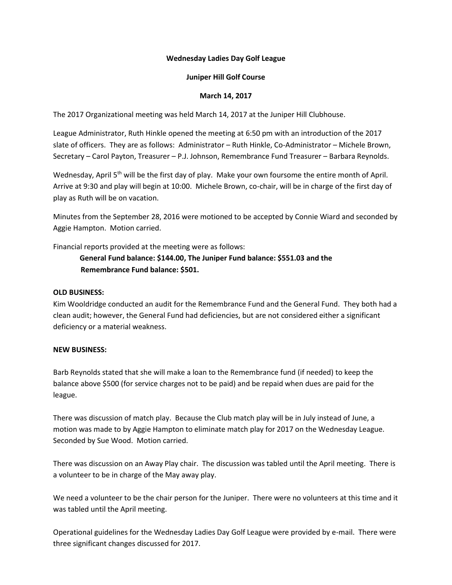## **Wednesday Ladies Day Golf League**

### **Juniper Hill Golf Course**

### **March 14, 2017**

The 2017 Organizational meeting was held March 14, 2017 at the Juniper Hill Clubhouse.

League Administrator, Ruth Hinkle opened the meeting at 6:50 pm with an introduction of the 2017 slate of officers. They are as follows: Administrator – Ruth Hinkle, Co-Administrator – Michele Brown, Secretary – Carol Payton, Treasurer – P.J. Johnson, Remembrance Fund Treasurer – Barbara Reynolds.

Wednesday, April 5<sup>th</sup> will be the first day of play. Make your own foursome the entire month of April. Arrive at 9:30 and play will begin at 10:00. Michele Brown, co-chair, will be in charge of the first day of play as Ruth will be on vacation.

Minutes from the September 28, 2016 were motioned to be accepted by Connie Wiard and seconded by Aggie Hampton. Motion carried.

Financial reports provided at the meeting were as follows:

# **General Fund balance: \$144.00, The Juniper Fund balance: \$551.03 and the Remembrance Fund balance: \$501.**

## **OLD BUSINESS:**

Kim Wooldridge conducted an audit for the Remembrance Fund and the General Fund. They both had a clean audit; however, the General Fund had deficiencies, but are not considered either a significant deficiency or a material weakness.

#### **NEW BUSINESS:**

Barb Reynolds stated that she will make a loan to the Remembrance fund (if needed) to keep the balance above \$500 (for service charges not to be paid) and be repaid when dues are paid for the league.

There was discussion of match play. Because the Club match play will be in July instead of June, a motion was made to by Aggie Hampton to eliminate match play for 2017 on the Wednesday League. Seconded by Sue Wood. Motion carried.

There was discussion on an Away Play chair. The discussion was tabled until the April meeting. There is a volunteer to be in charge of the May away play.

We need a volunteer to be the chair person for the Juniper. There were no volunteers at this time and it was tabled until the April meeting.

Operational guidelines for the Wednesday Ladies Day Golf League were provided by e-mail. There were three significant changes discussed for 2017.